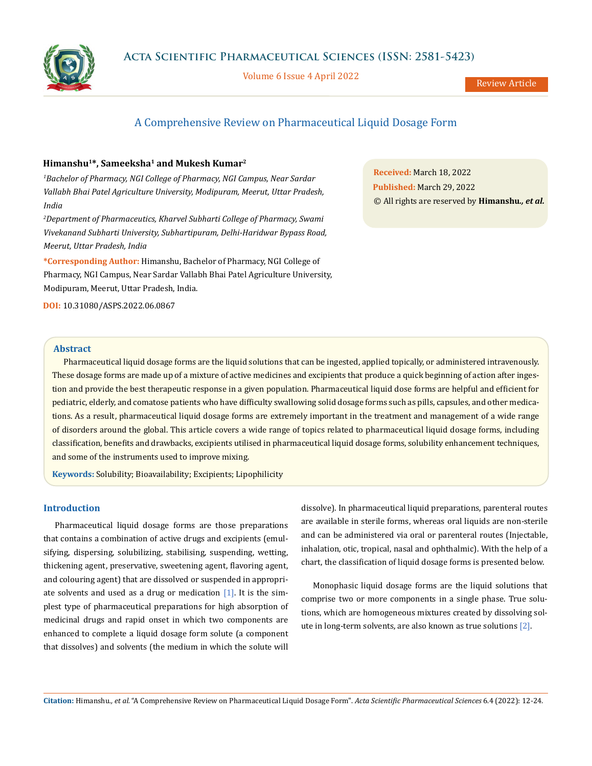

Volume 6 Issue 4 April 2022

Review Article

# A Comprehensive Review on Pharmaceutical Liquid Dosage Form

# **Himanshu1\*, Sameeksha1 and Mukesh Kumar2**

*1 Bachelor of Pharmacy, NGI College of Pharmacy, NGI Campus, Near Sardar Vallabh Bhai Patel Agriculture University, Modipuram, Meerut, Uttar Pradesh, India*

*2 Department of Pharmaceutics, Kharvel Subharti College of Pharmacy, Swami Vivekanand Subharti University, Subhartipuram, Delhi-Haridwar Bypass Road, Meerut, Uttar Pradesh, India*

**\*Corresponding Author:** Himanshu, Bachelor of Pharmacy, NGI College of Pharmacy, NGI Campus, Near Sardar Vallabh Bhai Patel Agriculture University, Modipuram, Meerut, Uttar Pradesh, India.

**DOI:** [10.31080/ASPS.2022.06.0867](http://actascientific.com/ASPS/pdf/ASPS-06-0867.pdf)

**Received:** March 18, 2022 **Published:** March 29, 2022 © All rights are reserved by **Himanshu***., et al.*

# **Abstract**

Pharmaceutical liquid dosage forms are the liquid solutions that can be ingested, applied topically, or administered intravenously. These dosage forms are made up of a mixture of active medicines and excipients that produce a quick beginning of action after ingestion and provide the best therapeutic response in a given population. Pharmaceutical liquid dose forms are helpful and efficient for pediatric, elderly, and comatose patients who have difficulty swallowing solid dosage forms such as pills, capsules, and other medications. As a result, pharmaceutical liquid dosage forms are extremely important in the treatment and management of a wide range of disorders around the global. This article covers a wide range of topics related to pharmaceutical liquid dosage forms, including classification, benefits and drawbacks, excipients utilised in pharmaceutical liquid dosage forms, solubility enhancement techniques, and some of the instruments used to improve mixing.

**Keywords:** Solubility; Bioavailability; Excipients; Lipophilicity

# **Introduction**

Pharmaceutical liquid dosage forms are those preparations that contains a combination of active drugs and excipients (emulsifying, dispersing, solubilizing, stabilising, suspending, wetting, thickening agent, preservative, sweetening agent, flavoring agent, and colouring agent) that are dissolved or suspended in appropriate solvents and used as a drug or medication  $[1]$ . It is the simplest type of pharmaceutical preparations for high absorption of medicinal drugs and rapid onset in which two components are enhanced to complete a liquid dosage form solute (a component that dissolves) and solvents (the medium in which the solute will dissolve). In pharmaceutical liquid preparations, parenteral routes are available in sterile forms, whereas oral liquids are non-sterile and can be administered via oral or parenteral routes (Injectable, inhalation, otic, tropical, nasal and ophthalmic). With the help of a chart, the classification of liquid dosage forms is presented below.

Monophasic liquid dosage forms are the liquid solutions that comprise two or more components in a single phase. True solutions, which are homogeneous mixtures created by dissolving solute in long-term solvents, are also known as true solutions [2].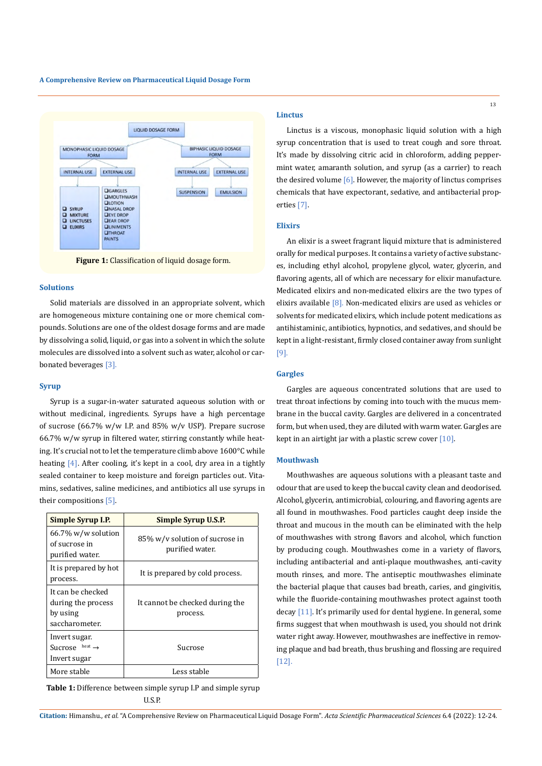

**Figure 1:** Classification of liquid dosage form.

#### **Solutions**

Solid materials are dissolved in an appropriate solvent, which are homogeneous mixture containing one or more chemical compounds. Solutions are one of the oldest dosage forms and are made by dissolving a solid, liquid, or gas into a solvent in which the solute molecules are dissolved into a solvent such as water, alcohol or carbonated beverages [3].

# **Syrup**

Syrup is a sugar-in-water saturated aqueous solution with or without medicinal, ingredients. Syrups have a high percentage of sucrose (66.7% w/w I.P. and 85% w/v USP). Prepare sucrose 66.7% w/w syrup in filtered water, stirring constantly while heating. It's crucial not to let the temperature climb above 1600°C while heating  $[4]$ . After cooling, it's kept in a cool, dry area in a tightly sealed container to keep moisture and foreign particles out. Vitamins, sedatives, saline medicines, and antibiotics all use syrups in their compositions [5].

| Simple Syrup I.P.                                                     | Simple Syrup U.S.P.                               |
|-----------------------------------------------------------------------|---------------------------------------------------|
| $66.7\%$ w/w solution<br>of sucrose in<br>purified water.             | 85% w/v solution of sucrose in<br>purified water. |
| It is prepared by hot<br>process.                                     | It is prepared by cold process.                   |
| It can be checked<br>during the process<br>by using<br>saccharometer. | It cannot be checked during the<br>process.       |
| Invert sugar.<br>heat $\rightarrow$<br>Sucrose<br>Invert sugar        | Sucrose                                           |
| More stable                                                           | Less stable                                       |

**Table 1:** Difference between simple syrup I.P and simple syrup U.S.P.

#### **Linctus**

Linctus is a viscous, monophasic liquid solution with a high syrup concentration that is used to treat cough and sore throat. It's made by dissolving citric acid in chloroform, adding peppermint water, amaranth solution, and syrup (as a carrier) to reach the desired volume [6]. However, the majority of linctus comprises chemicals that have expectorant, sedative, and antibacterial properties [7].

## **Elixirs**

An elixir is a sweet fragrant liquid mixture that is administered orally for medical purposes. It contains a variety of active substances, including ethyl alcohol, propylene glycol, water, glycerin, and flavoring agents, all of which are necessary for elixir manufacture. Medicated elixirs and non-medicated elixirs are the two types of elixirs available [8]. Non-medicated elixirs are used as vehicles or solvents for medicated elixirs, which include potent medications as antihistaminic, antibiotics, hypnotics, and sedatives, and should be kept in a light-resistant, firmly closed container away from sunlight [9].

# **Gargles**

Gargles are aqueous concentrated solutions that are used to treat throat infections by coming into touch with the mucus membrane in the buccal cavity. Gargles are delivered in a concentrated form, but when used, they are diluted with warm water. Gargles are kept in an airtight jar with a plastic screw cover  $[10]$ .

## **Mouthwash**

Mouthwashes are aqueous solutions with a pleasant taste and odour that are used to keep the buccal cavity clean and deodorised. Alcohol, glycerin, antimicrobial, colouring, and flavoring agents are all found in mouthwashes. Food particles caught deep inside the throat and mucous in the mouth can be eliminated with the help of mouthwashes with strong flavors and alcohol, which function by producing cough. Mouthwashes come in a variety of flavors, including antibacterial and anti-plaque mouthwashes, anti-cavity mouth rinses, and more. The antiseptic mouthwashes eliminate the bacterial plaque that causes bad breath, caries, and gingivitis, while the fluoride-containing mouthwashes protect against tooth decay [11]. It's primarily used for dental hygiene. In general, some firms suggest that when mouthwash is used, you should not drink water right away. However, mouthwashes are ineffective in removing plaque and bad breath, thus brushing and flossing are required [12].

**Citation:** Himanshu*., et al.* "A Comprehensive Review on Pharmaceutical Liquid Dosage Form". *Acta Scientific Pharmaceutical Sciences* 6.4 (2022): 12-24.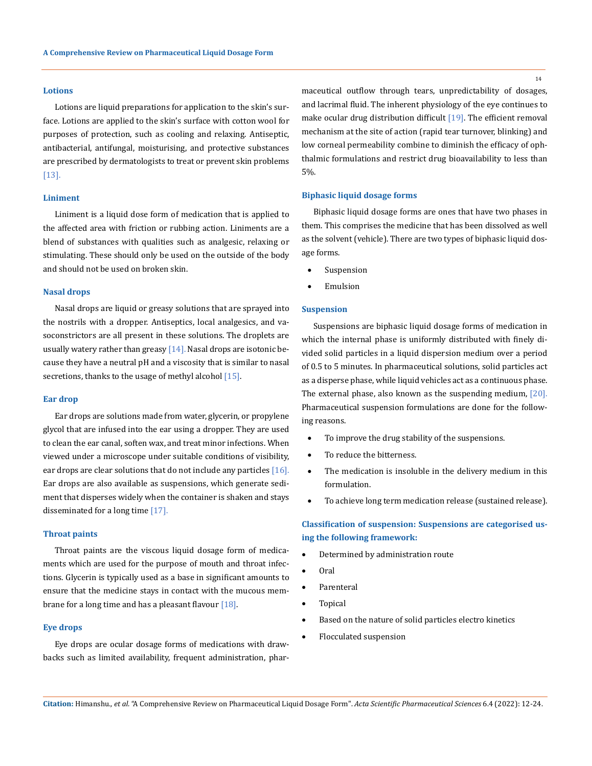# **Lotions**

Lotions are liquid preparations for application to the skin's surface. Lotions are applied to the skin's surface with cotton wool for purposes of protection, such as cooling and relaxing. Antiseptic, antibacterial, antifungal, moisturising, and protective substances are prescribed by dermatologists to treat or prevent skin problems [13].

## **Liniment**

Liniment is a liquid dose form of medication that is applied to the affected area with friction or rubbing action. Liniments are a blend of substances with qualities such as analgesic, relaxing or stimulating. These should only be used on the outside of the body and should not be used on broken skin.

### **Nasal drops**

Nasal drops are liquid or greasy solutions that are sprayed into the nostrils with a dropper. Antiseptics, local analgesics, and vasoconstrictors are all present in these solutions. The droplets are usually watery rather than greasy  $[14]$ . Nasal drops are isotonic because they have a neutral pH and a viscosity that is similar to nasal secretions, thanks to the usage of methyl alcohol  $[15]$ .

#### **Ear drop**

Ear drops are solutions made from water, glycerin, or propylene glycol that are infused into the ear using a dropper. They are used to clean the ear canal, soften wax, and treat minor infections. When viewed under a microscope under suitable conditions of visibility, ear drops are clear solutions that do not include any particles  $[16]$ . Ear drops are also available as suspensions, which generate sediment that disperses widely when the container is shaken and stays disseminated for a long time [17].

## **Throat paints**

Throat paints are the viscous liquid dosage form of medicaments which are used for the purpose of mouth and throat infections. Glycerin is typically used as a base in significant amounts to ensure that the medicine stays in contact with the mucous membrane for a long time and has a pleasant flavour  $[18]$ .

## **Eye drops**

Eye drops are ocular dosage forms of medications with drawbacks such as limited availability, frequent administration, pharmaceutical outflow through tears, unpredictability of dosages, and lacrimal fluid. The inherent physiology of the eye continues to make ocular drug distribution difficult  $[19]$ . The efficient removal mechanism at the site of action (rapid tear turnover, blinking) and low corneal permeability combine to diminish the efficacy of ophthalmic formulations and restrict drug bioavailability to less than 5%.

#### **Biphasic liquid dosage forms**

Biphasic liquid dosage forms are ones that have two phases in them. This comprises the medicine that has been dissolved as well as the solvent (vehicle). There are two types of biphasic liquid dosage forms.

- Suspension
- **Emulsion**

### **Suspension**

Suspensions are biphasic liquid dosage forms of medication in which the internal phase is uniformly distributed with finely divided solid particles in a liquid dispersion medium over a period of 0.5 to 5 minutes. In pharmaceutical solutions, solid particles act as a disperse phase, while liquid vehicles act as a continuous phase. The external phase, also known as the suspending medium, [20]. Pharmaceutical suspension formulations are done for the following reasons.

- To improve the drug stability of the suspensions.
- To reduce the bitterness.
- The medication is insoluble in the delivery medium in this formulation.
- To achieve long term medication release (sustained release).

# **Classification of suspension: Suspensions are categorised using the following framework:**

- Determined by administration route
- Oral
- Parenteral
- **Topical**
- • Based on the nature of solid particles electro kinetics
	- Flocculated suspension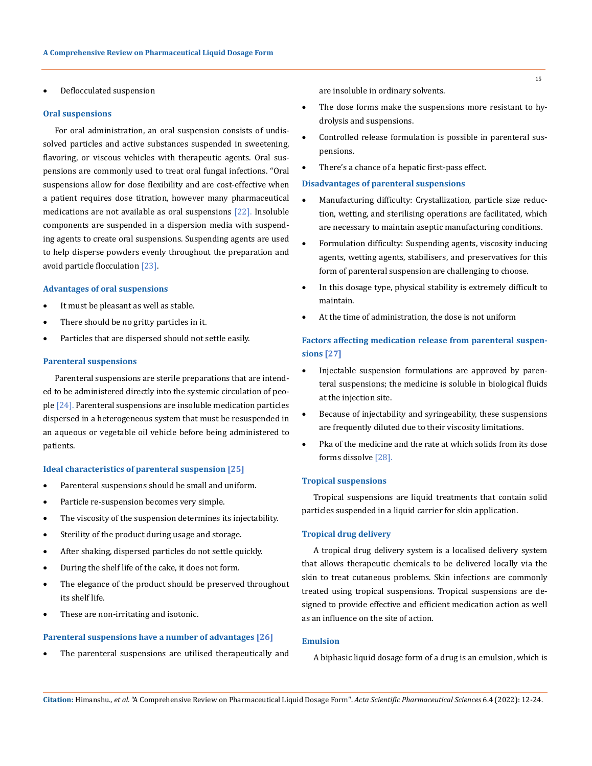Deflocculated suspension

## **Oral suspensions**

For oral administration, an oral suspension consists of undissolved particles and active substances suspended in sweetening, flavoring, or viscous vehicles with therapeutic agents. Oral suspensions are commonly used to treat oral fungal infections. "Oral suspensions allow for dose flexibility and are cost-effective when a patient requires dose titration, however many pharmaceutical medications are not available as oral suspensions [22]. Insoluble components are suspended in a dispersion media with suspending agents to create oral suspensions. Suspending agents are used to help disperse powders evenly throughout the preparation and avoid particle flocculation [23].

## **Advantages of oral suspensions**

- It must be pleasant as well as stable.
- There should be no gritty particles in it.
- Particles that are dispersed should not settle easily.

#### **Parenteral suspensions**

Parenteral suspensions are sterile preparations that are intended to be administered directly into the systemic circulation of people [24]. Parenteral suspensions are insoluble medication particles dispersed in a heterogeneous system that must be resuspended in an aqueous or vegetable oil vehicle before being administered to patients.

## **Ideal characteristics of parenteral suspension [25]**

- • Parenteral suspensions should be small and uniform.
- Particle re-suspension becomes very simple.
- • The viscosity of the suspension determines its injectability.
- Sterility of the product during usage and storage.
- After shaking, dispersed particles do not settle quickly.
- • During the shelf life of the cake, it does not form.
- The elegance of the product should be preserved throughout its shelf life.
- These are non-irritating and isotonic.

# **Parenteral suspensions have a number of advantages [26]**

The parenteral suspensions are utilised therapeutically and

are insoluble in ordinary solvents.

- The dose forms make the suspensions more resistant to hydrolysis and suspensions.
- Controlled release formulation is possible in parenteral suspensions.
- There's a chance of a hepatic first-pass effect.

#### **Disadvantages of parenteral suspensions**

- • Manufacturing difficulty: Crystallization, particle size reduction, wetting, and sterilising operations are facilitated, which are necessary to maintain aseptic manufacturing conditions.
- Formulation difficulty: Suspending agents, viscosity inducing agents, wetting agents, stabilisers, and preservatives for this form of parenteral suspension are challenging to choose.
- In this dosage type, physical stability is extremely difficult to maintain.
- At the time of administration, the dose is not uniform

# **Factors affecting medication release from parenteral suspensions [27]**

- Injectable suspension formulations are approved by parenteral suspensions; the medicine is soluble in biological fluids at the injection site.
- • Because of injectability and syringeability, these suspensions are frequently diluted due to their viscosity limitations.
- Pka of the medicine and the rate at which solids from its dose forms dissolve [28].

## **Tropical suspensions**

Tropical suspensions are liquid treatments that contain solid particles suspended in a liquid carrier for skin application.

# **Tropical drug delivery**

A tropical drug delivery system is a localised delivery system that allows therapeutic chemicals to be delivered locally via the skin to treat cutaneous problems. Skin infections are commonly treated using tropical suspensions. Tropical suspensions are designed to provide effective and efficient medication action as well as an influence on the site of action.

# **Emulsion**

A biphasic liquid dosage form of a drug is an emulsion, which is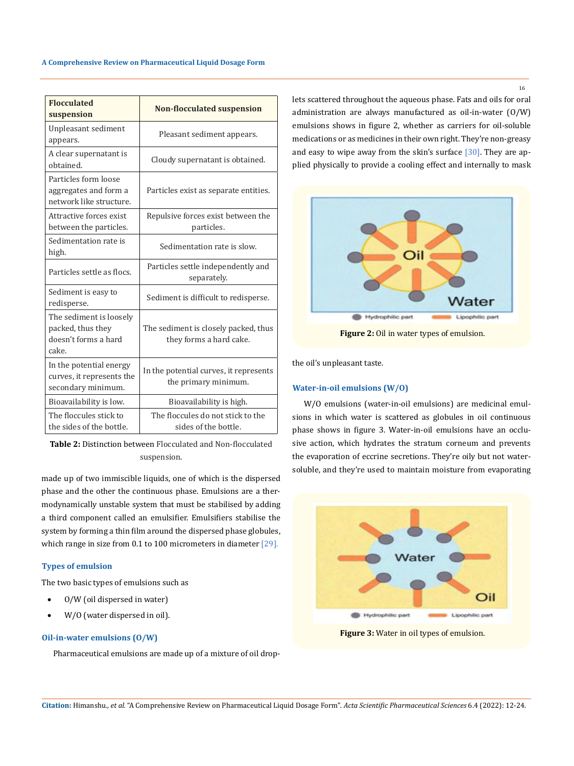| <b>Flocculated</b><br>suspension                                              | <b>Non-flocculated suspension</b>                               |
|-------------------------------------------------------------------------------|-----------------------------------------------------------------|
| Unpleasant sediment<br>appears.                                               | Pleasant sediment appears.                                      |
| A clear supernatant is<br>obtained.                                           | Cloudy supernatant is obtained.                                 |
| Particles form loose<br>aggregates and form a<br>network like structure.      | Particles exist as separate entities.                           |
| Attractive forces exist<br>between the particles.                             | Repulsive forces exist between the<br>particles.                |
| Sedimentation rate is<br>high.                                                | Sedimentation rate is slow.                                     |
| Particles settle as flocs.                                                    | Particles settle independently and<br>separately.               |
| Sediment is easy to<br>redisperse.                                            | Sediment is difficult to redisperse.                            |
| The sediment is loosely<br>packed, thus they<br>doesn't forms a hard<br>cake. | The sediment is closely packed, thus<br>they forms a hard cake. |
| In the potential energy<br>curves, it represents the<br>secondary minimum.    | In the potential curves, it represents<br>the primary minimum.  |
| Bioavailability is low.                                                       | Bioavailability is high.                                        |
| The floccules stick to<br>the sides of the bottle.                            | The floccules do not stick to the<br>sides of the bottle.       |

**Table 2:** Distinction between Flocculated and Non-flocculated suspension.

made up of two immiscible liquids, one of which is the dispersed phase and the other the continuous phase. Emulsions are a thermodynamically unstable system that must be stabilised by adding a third component called an emulsifier. Emulsifiers stabilise the system by forming a thin film around the dispersed phase globules, which range in size from 0.1 to 100 micrometers in diameter [29].

# **Types of emulsion**

The two basic types of emulsions such as

- 0/W (oil dispersed in water)
- W/O (water dispersed in oil).

## **Oil-in-water emulsions (O/W)**

Pharmaceutical emulsions are made up of a mixture of oil drop-

lets scattered throughout the aqueous phase. Fats and oils for oral administration are always manufactured as oil-in-water (O/W) emulsions shows in figure 2, whether as carriers for oil-soluble medications or as medicines in their own right. They're non-greasy and easy to wipe away from the skin's surface  $[30]$ . They are applied physically to provide a cooling effect and internally to mask



**Figure 2:** Oil in water types of emulsion.

the oil's unpleasant taste.

# **Water-in-oil emulsions (W/O)**

W/O emulsions (water-in-oil emulsions) are medicinal emulsions in which water is scattered as globules in oil continuous phase shows in figure 3. Water-in-oil emulsions have an occlusive action, which hydrates the stratum corneum and prevents the evaporation of eccrine secretions. They're oily but not watersoluble, and they're used to maintain moisture from evaporating



**Figure 3:** Water in oil types of emulsion.

16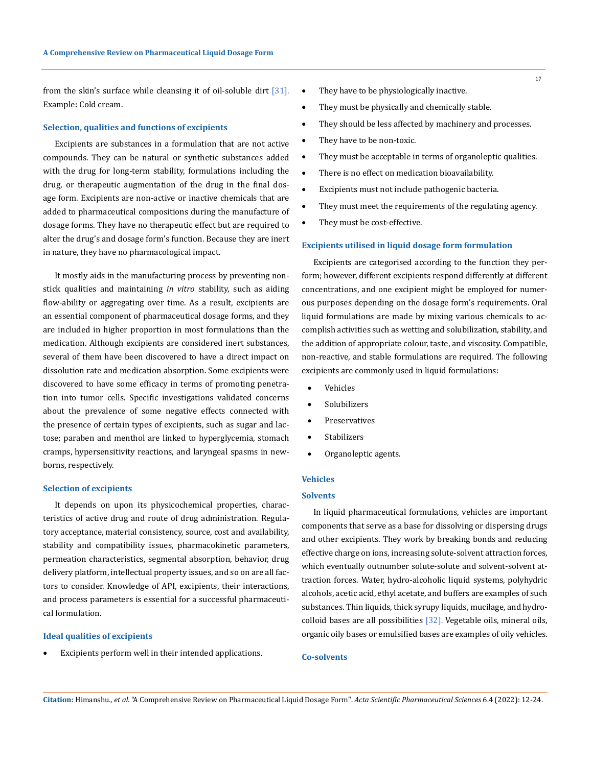from the skin's surface while cleansing it of oil-soluble dirt [31]. Example: Cold cream.

# **Selection, qualities and functions of excipients**

Excipients are substances in a formulation that are not active compounds. They can be natural or synthetic substances added with the drug for long-term stability, formulations including the drug, or therapeutic augmentation of the drug in the final dosage form. Excipients are non-active or inactive chemicals that are added to pharmaceutical compositions during the manufacture of dosage forms. They have no therapeutic effect but are required to alter the drug's and dosage form's function. Because they are inert in nature, they have no pharmacological impact.

It mostly aids in the manufacturing process by preventing nonstick qualities and maintaining *in vitro* stability, such as aiding flow-ability or aggregating over time. As a result, excipients are an essential component of pharmaceutical dosage forms, and they are included in higher proportion in most formulations than the medication. Although excipients are considered inert substances, several of them have been discovered to have a direct impact on dissolution rate and medication absorption. Some excipients were discovered to have some efficacy in terms of promoting penetration into tumor cells. Specific investigations validated concerns about the prevalence of some negative effects connected with the presence of certain types of excipients, such as sugar and lactose; paraben and menthol are linked to hyperglycemia, stomach cramps, hypersensitivity reactions, and laryngeal spasms in newborns, respectively.

## **Selection of excipients**

It depends on upon its physicochemical properties, characteristics of active drug and route of drug administration. Regulatory acceptance, material consistency, source, cost and availability, stability and compatibility issues, pharmacokinetic parameters, permeation characteristics, segmental absorption, behavior, drug delivery platform, intellectual property issues, and so on are all factors to consider. Knowledge of API, excipients, their interactions, and process parameters is essential for a successful pharmaceutical formulation.

## **Ideal qualities of excipients**

Excipients perform well in their intended applications.

- They have to be physiologically inactive.
- They must be physically and chemically stable.
- They should be less affected by machinery and processes.
- They have to be non-toxic.
- They must be acceptable in terms of organoleptic qualities.
- • There is no effect on medication bioavailability.
- • Excipients must not include pathogenic bacteria.
- They must meet the requirements of the regulating agency.
- They must be cost-effective.

## **Excipients utilised in liquid dosage form formulation**

Excipients are categorised according to the function they perform; however, different excipients respond differently at different concentrations, and one excipient might be employed for numerous purposes depending on the dosage form's requirements. Oral liquid formulations are made by mixing various chemicals to accomplish activities such as wetting and solubilization, stability, and the addition of appropriate colour, taste, and viscosity. Compatible, non-reactive, and stable formulations are required. The following excipients are commonly used in liquid formulations:

- **Vehicles**
- **Solubilizers**
- **Preservatives**
- • Stabilizers
- Organoleptic agents.

## **Vehicles**

# **Solvents**

In liquid pharmaceutical formulations, vehicles are important components that serve as a base for dissolving or dispersing drugs and other excipients. They work by breaking bonds and reducing effective charge on ions, increasing solute-solvent attraction forces, which eventually outnumber solute-solute and solvent-solvent attraction forces. Water, hydro-alcoholic liquid systems, polyhydric alcohols, acetic acid, ethyl acetate, and buffers are examples of such substances. Thin liquids, thick syrupy liquids, mucilage, and hydrocolloid bases are all possibilities [32]. Vegetable oils, mineral oils, organic oily bases or emulsified bases are examples of oily vehicles.

# **Co-solvents**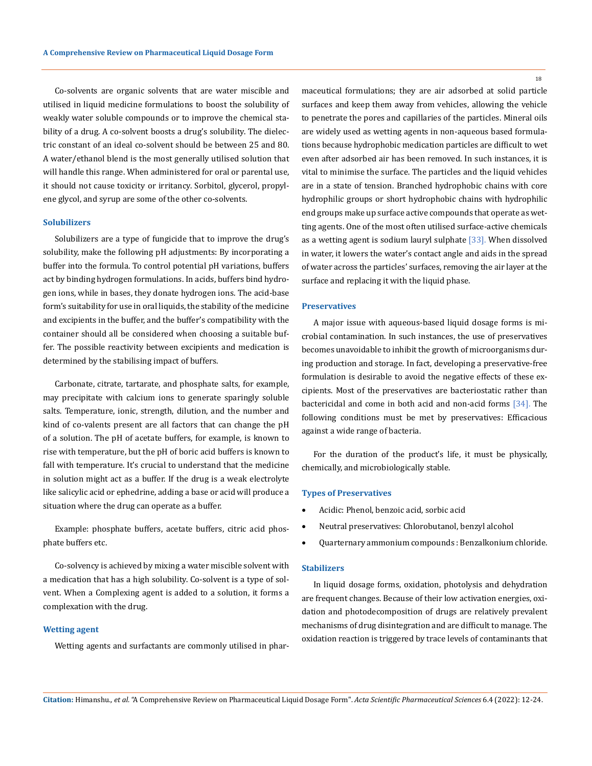Co-solvents are organic solvents that are water miscible and utilised in liquid medicine formulations to boost the solubility of weakly water soluble compounds or to improve the chemical stability of a drug. A co-solvent boosts a drug's solubility. The dielectric constant of an ideal co-solvent should be between 25 and 80. A water/ethanol blend is the most generally utilised solution that will handle this range. When administered for oral or parental use, it should not cause toxicity or irritancy. Sorbitol, glycerol, propylene glycol, and syrup are some of the other co-solvents.

## **Solubilizers**

Solubilizers are a type of fungicide that to improve the drug's solubility, make the following pH adjustments: By incorporating a buffer into the formula. To control potential pH variations, buffers act by binding hydrogen formulations. In acids, buffers bind hydrogen ions, while in bases, they donate hydrogen ions. The acid-base form's suitability for use in oral liquids, the stability of the medicine and excipients in the buffer, and the buffer's compatibility with the container should all be considered when choosing a suitable buffer. The possible reactivity between excipients and medication is determined by the stabilising impact of buffers.

Carbonate, citrate, tartarate, and phosphate salts, for example, may precipitate with calcium ions to generate sparingly soluble salts. Temperature, ionic, strength, dilution, and the number and kind of co-valents present are all factors that can change the pH of a solution. The pH of acetate buffers, for example, is known to rise with temperature, but the pH of boric acid buffers is known to fall with temperature. It's crucial to understand that the medicine in solution might act as a buffer. If the drug is a weak electrolyte like salicylic acid or ephedrine, adding a base or acid will produce a situation where the drug can operate as a buffer.

Example: phosphate buffers, acetate buffers, citric acid phosphate buffers etc.

Co-solvency is achieved by mixing a water miscible solvent with a medication that has a high solubility. Co-solvent is a type of solvent. When a Complexing agent is added to a solution, it forms a complexation with the drug.

## **Wetting agent**

Wetting agents and surfactants are commonly utilised in phar-

18

maceutical formulations; they are air adsorbed at solid particle surfaces and keep them away from vehicles, allowing the vehicle to penetrate the pores and capillaries of the particles. Mineral oils are widely used as wetting agents in non-aqueous based formulations because hydrophobic medication particles are difficult to wet even after adsorbed air has been removed. In such instances, it is vital to minimise the surface. The particles and the liquid vehicles are in a state of tension. Branched hydrophobic chains with core hydrophilic groups or short hydrophobic chains with hydrophilic end groups make up surface active compounds that operate as wetting agents. One of the most often utilised surface-active chemicals as a wetting agent is sodium lauryl sulphate [33]. When dissolved in water, it lowers the water's contact angle and aids in the spread of water across the particles' surfaces, removing the air layer at the surface and replacing it with the liquid phase.

## **Preservatives**

A major issue with aqueous-based liquid dosage forms is microbial contamination. In such instances, the use of preservatives becomes unavoidable to inhibit the growth of microorganisms during production and storage. In fact, developing a preservative-free formulation is desirable to avoid the negative effects of these excipients. Most of the preservatives are bacteriostatic rather than bactericidal and come in both acid and non-acid forms [34]. The following conditions must be met by preservatives: Efficacious against a wide range of bacteria.

For the duration of the product's life, it must be physically, chemically, and microbiologically stable.

# **Types of Preservatives**

- • Acidic: Phenol, benzoic acid, sorbic acid
- Neutral preservatives: Chlorobutanol, benzyl alcohol
- • Quarternary ammonium compounds : Benzalkonium chloride.

## **Stabilizers**

In liquid dosage forms, oxidation, photolysis and dehydration are frequent changes. Because of their low activation energies, oxidation and photodecomposition of drugs are relatively prevalent mechanisms of drug disintegration and are difficult to manage. The oxidation reaction is triggered by trace levels of contaminants that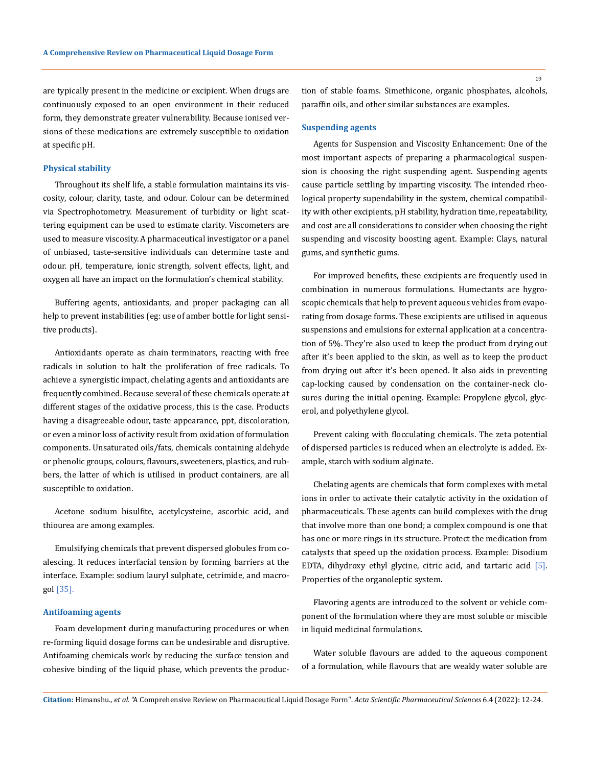are typically present in the medicine or excipient. When drugs are continuously exposed to an open environment in their reduced form, they demonstrate greater vulnerability. Because ionised versions of these medications are extremely susceptible to oxidation at specific pH.

#### **Physical stability**

Throughout its shelf life, a stable formulation maintains its viscosity, colour, clarity, taste, and odour. Colour can be determined via Spectrophotometry. Measurement of turbidity or light scattering equipment can be used to estimate clarity. Viscometers are used to measure viscosity. A pharmaceutical investigator or a panel of unbiased, taste-sensitive individuals can determine taste and odour. pH, temperature, ionic strength, solvent effects, light, and oxygen all have an impact on the formulation's chemical stability.

Buffering agents, antioxidants, and proper packaging can all help to prevent instabilities (eg: use of amber bottle for light sensitive products).

Antioxidants operate as chain terminators, reacting with free radicals in solution to halt the proliferation of free radicals. To achieve a synergistic impact, chelating agents and antioxidants are frequently combined. Because several of these chemicals operate at different stages of the oxidative process, this is the case. Products having a disagreeable odour, taste appearance, ppt, discoloration, or even a minor loss of activity result from oxidation of formulation components. Unsaturated oils/fats, chemicals containing aldehyde or phenolic groups, colours, flavours, sweeteners, plastics, and rubbers, the latter of which is utilised in product containers, are all susceptible to oxidation.

Acetone sodium bisulfite, acetylcysteine, ascorbic acid, and thiourea are among examples.

Emulsifying chemicals that prevent dispersed globules from coalescing. It reduces interfacial tension by forming barriers at the interface. Example: sodium lauryl sulphate, cetrimide, and macrogol [35].

## **Antifoaming agents**

Foam development during manufacturing procedures or when re-forming liquid dosage forms can be undesirable and disruptive. Antifoaming chemicals work by reducing the surface tension and cohesive binding of the liquid phase, which prevents the production of stable foams. Simethicone, organic phosphates, alcohols, paraffin oils, and other similar substances are examples.

# **Suspending agents**

Agents for Suspension and Viscosity Enhancement: One of the most important aspects of preparing a pharmacological suspension is choosing the right suspending agent. Suspending agents cause particle settling by imparting viscosity. The intended rheological property supendability in the system, chemical compatibility with other excipients, pH stability, hydration time, repeatability, and cost are all considerations to consider when choosing the right suspending and viscosity boosting agent. Example: Clays, natural gums, and synthetic gums.

For improved benefits, these excipients are frequently used in combination in numerous formulations. Humectants are hygroscopic chemicals that help to prevent aqueous vehicles from evaporating from dosage forms. These excipients are utilised in aqueous suspensions and emulsions for external application at a concentration of 5%. They're also used to keep the product from drying out after it's been applied to the skin, as well as to keep the product from drying out after it's been opened. It also aids in preventing cap-locking caused by condensation on the container-neck closures during the initial opening. Example: Propylene glycol, glycerol, and polyethylene glycol.

Prevent caking with flocculating chemicals. The zeta potential of dispersed particles is reduced when an electrolyte is added. Example, starch with sodium alginate.

Chelating agents are chemicals that form complexes with metal ions in order to activate their catalytic activity in the oxidation of pharmaceuticals. These agents can build complexes with the drug that involve more than one bond; a complex compound is one that has one or more rings in its structure. Protect the medication from catalysts that speed up the oxidation process. Example: Disodium EDTA, dihydroxy ethyl glycine, citric acid, and tartaric acid [5]. Properties of the organoleptic system.

Flavoring agents are introduced to the solvent or vehicle component of the formulation where they are most soluble or miscible in liquid medicinal formulations.

Water soluble flavours are added to the aqueous component of a formulation, while flavours that are weakly water soluble are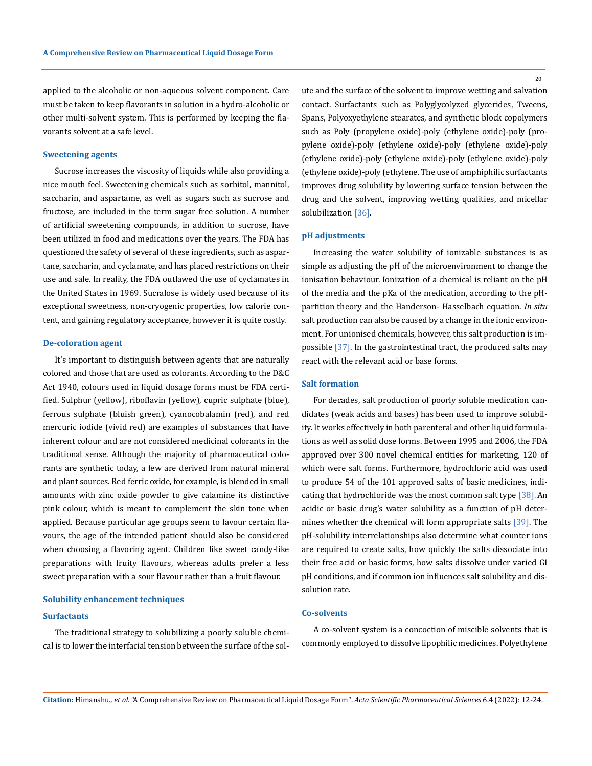applied to the alcoholic or non-aqueous solvent component. Care must be taken to keep flavorants in solution in a hydro-alcoholic or other multi-solvent system. This is performed by keeping the flavorants solvent at a safe level.

#### **Sweetening agents**

Sucrose increases the viscosity of liquids while also providing a nice mouth feel. Sweetening chemicals such as sorbitol, mannitol, saccharin, and aspartame, as well as sugars such as sucrose and fructose, are included in the term sugar free solution. A number of artificial sweetening compounds, in addition to sucrose, have been utilized in food and medications over the years. The FDA has questioned the safety of several of these ingredients, such as aspartane, saccharin, and cyclamate, and has placed restrictions on their use and sale. In reality, the FDA outlawed the use of cyclamates in the United States in 1969. Sucralose is widely used because of its exceptional sweetness, non-cryogenic properties, low calorie content, and gaining regulatory acceptance, however it is quite costly.

#### **De-coloration agent**

It's important to distinguish between agents that are naturally colored and those that are used as colorants. According to the D&C Act 1940, colours used in liquid dosage forms must be FDA certified. Sulphur (yellow), riboflavin (yellow), cupric sulphate (blue), ferrous sulphate (bluish green), cyanocobalamin (red), and red mercuric iodide (vivid red) are examples of substances that have inherent colour and are not considered medicinal colorants in the traditional sense. Although the majority of pharmaceutical colorants are synthetic today, a few are derived from natural mineral and plant sources. Red ferric oxide, for example, is blended in small amounts with zinc oxide powder to give calamine its distinctive pink colour, which is meant to complement the skin tone when applied. Because particular age groups seem to favour certain flavours, the age of the intended patient should also be considered when choosing a flavoring agent. Children like sweet candy-like preparations with fruity flavours, whereas adults prefer a less sweet preparation with a sour flavour rather than a fruit flavour.

## **Solubility enhancement techniques**

## **Surfactants**

The traditional strategy to solubilizing a poorly soluble chemical is to lower the interfacial tension between the surface of the solute and the surface of the solvent to improve wetting and salvation contact. Surfactants such as Polyglycolyzed glycerides, Tweens, Spans, Polyoxyethylene stearates, and synthetic block copolymers such as Poly (propylene oxide)-poly (ethylene oxide)-poly (pro-

pylene oxide)-poly (ethylene oxide)-poly (ethylene oxide)-poly (ethylene oxide)-poly (ethylene oxide)-poly (ethylene oxide)-poly (ethylene oxide)-poly (ethylene. The use of amphiphilic surfactants improves drug solubility by lowering surface tension between the drug and the solvent, improving wetting qualities, and micellar solubilization [36].

# **pH adjustments**

Increasing the water solubility of ionizable substances is as simple as adjusting the pH of the microenvironment to change the ionisation behaviour. Ionization of a chemical is reliant on the pH of the media and the pKa of the medication, according to the pHpartition theory and the Handerson- Hasselbach equation. *In situ* salt production can also be caused by a change in the ionic environment. For unionised chemicals, however, this salt production is impossible [37]. In the gastrointestinal tract, the produced salts may react with the relevant acid or base forms.

# **Salt formation**

For decades, salt production of poorly soluble medication candidates (weak acids and bases) has been used to improve solubility. It works effectively in both parenteral and other liquid formulations as well as solid dose forms. Between 1995 and 2006, the FDA approved over 300 novel chemical entities for marketing, 120 of which were salt forms. Furthermore, hydrochloric acid was used to produce 54 of the 101 approved salts of basic medicines, indicating that hydrochloride was the most common salt type [38].An acidic or basic drug's water solubility as a function of pH determines whether the chemical will form appropriate salts [39]. The pH-solubility interrelationships also determine what counter ions are required to create salts, how quickly the salts dissociate into their free acid or basic forms, how salts dissolve under varied GI pH conditions, and if common ion influences salt solubility and dissolution rate.

## **Co-solvents**

A co-solvent system is a concoction of miscible solvents that is commonly employed to dissolve lipophilic medicines. Polyethylene

**Citation:** Himanshu*., et al.* "A Comprehensive Review on Pharmaceutical Liquid Dosage Form". *Acta Scientific Pharmaceutical Sciences* 6.4 (2022): 12-24.

20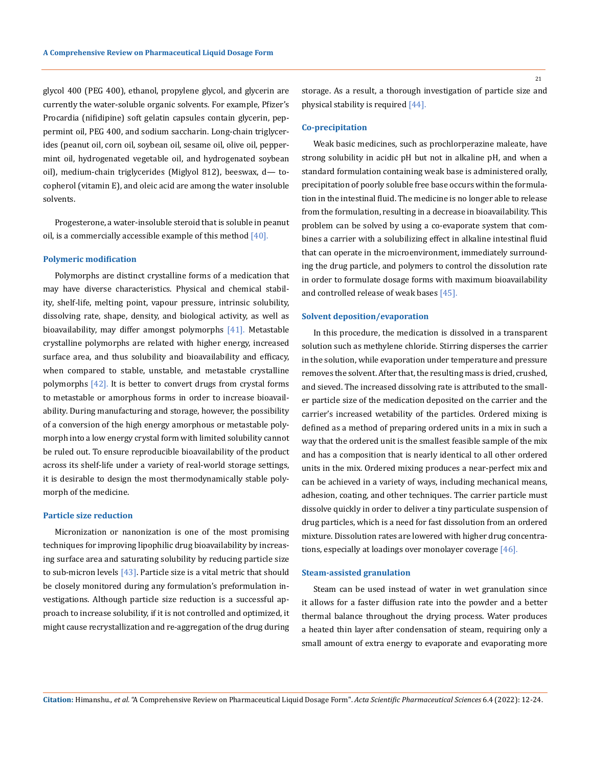glycol 400 (PEG 400), ethanol, propylene glycol, and glycerin are currently the water-soluble organic solvents. For example, Pfizer's Procardia (nifidipine) soft gelatin capsules contain glycerin, peppermint oil, PEG 400, and sodium saccharin. Long-chain triglycerides (peanut oil, corn oil, soybean oil, sesame oil, olive oil, peppermint oil, hydrogenated vegetable oil, and hydrogenated soybean oil), medium-chain triglycerides (Miglyol 812), beeswax, d— tocopherol (vitamin E), and oleic acid are among the water insoluble solvents.

Progesterone, a water-insoluble steroid that is soluble in peanut oil, is a commercially accessible example of this method  $[40]$ .

#### **Polymeric modification**

Polymorphs are distinct crystalline forms of a medication that may have diverse characteristics. Physical and chemical stability, shelf-life, melting point, vapour pressure, intrinsic solubility, dissolving rate, shape, density, and biological activity, as well as bioavailability, may differ amongst polymorphs [41]. Metastable crystalline polymorphs are related with higher energy, increased surface area, and thus solubility and bioavailability and efficacy, when compared to stable, unstable, and metastable crystalline polymorphs [42]. It is better to convert drugs from crystal forms to metastable or amorphous forms in order to increase bioavailability. During manufacturing and storage, however, the possibility of a conversion of the high energy amorphous or metastable polymorph into a low energy crystal form with limited solubility cannot be ruled out. To ensure reproducible bioavailability of the product across its shelf-life under a variety of real-world storage settings, it is desirable to design the most thermodynamically stable polymorph of the medicine.

# **Particle size reduction**

Micronization or nanonization is one of the most promising techniques for improving lipophilic drug bioavailability by increasing surface area and saturating solubility by reducing particle size to sub-micron levels  $[43]$ . Particle size is a vital metric that should be closely monitored during any formulation's preformulation investigations. Although particle size reduction is a successful approach to increase solubility, if it is not controlled and optimized, it might cause recrystallization and re-aggregation of the drug during

#### **Co-precipitation**

Weak basic medicines, such as prochlorperazine maleate, have strong solubility in acidic pH but not in alkaline pH, and when a standard formulation containing weak base is administered orally, precipitation of poorly soluble free base occurs within the formulation in the intestinal fluid. The medicine is no longer able to release from the formulation, resulting in a decrease in bioavailability. This problem can be solved by using a co-evaporate system that combines a carrier with a solubilizing effect in alkaline intestinal fluid that can operate in the microenvironment, immediately surrounding the drug particle, and polymers to control the dissolution rate in order to formulate dosage forms with maximum bioavailability and controlled release of weak bases [45].

#### **Solvent deposition/evaporation**

In this procedure, the medication is dissolved in a transparent solution such as methylene chloride. Stirring disperses the carrier in the solution, while evaporation under temperature and pressure removes the solvent. After that, the resulting mass is dried, crushed, and sieved. The increased dissolving rate is attributed to the smaller particle size of the medication deposited on the carrier and the carrier's increased wetability of the particles. Ordered mixing is defined as a method of preparing ordered units in a mix in such a way that the ordered unit is the smallest feasible sample of the mix and has a composition that is nearly identical to all other ordered units in the mix. Ordered mixing produces a near-perfect mix and can be achieved in a variety of ways, including mechanical means, adhesion, coating, and other techniques. The carrier particle must dissolve quickly in order to deliver a tiny particulate suspension of drug particles, which is a need for fast dissolution from an ordered mixture. Dissolution rates are lowered with higher drug concentrations, especially at loadings over monolayer coverage [46].

### **Steam-assisted granulation**

Steam can be used instead of water in wet granulation since it allows for a faster diffusion rate into the powder and a better thermal balance throughout the drying process. Water produces a heated thin layer after condensation of steam, requiring only a small amount of extra energy to evaporate and evaporating more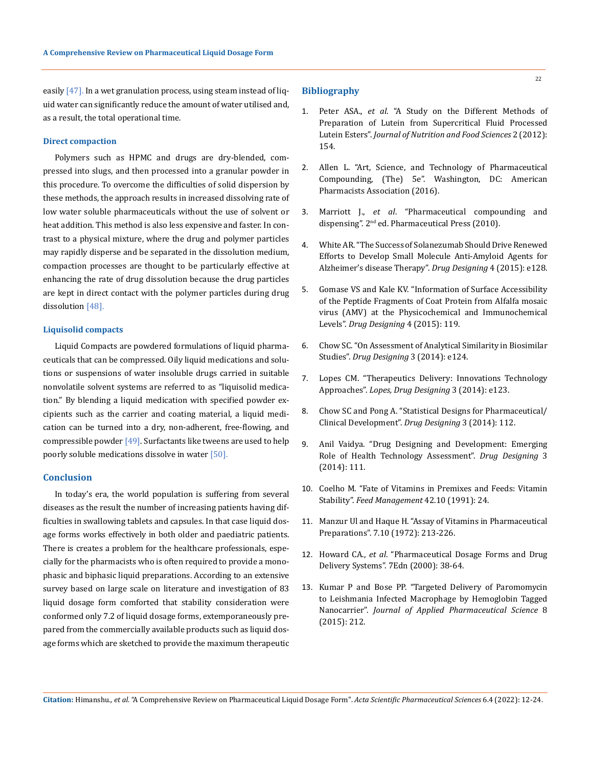easily [47]. In a wet granulation process, using steam instead of liquid water can significantly reduce the amount of water utilised and, as a result, the total operational time.

#### **Direct compaction**

Polymers such as HPMC and drugs are dry-blended, compressed into slugs, and then processed into a granular powder in this procedure. To overcome the difficulties of solid dispersion by these methods, the approach results in increased dissolving rate of low water soluble pharmaceuticals without the use of solvent or heat addition. This method is also less expensive and faster. In contrast to a physical mixture, where the drug and polymer particles may rapidly disperse and be separated in the dissolution medium, compaction processes are thought to be particularly effective at enhancing the rate of drug dissolution because the drug particles are kept in direct contact with the polymer particles during drug dissolution [48].

## **Liquisolid compacts**

Liquid Compacts are powdered formulations of liquid pharmaceuticals that can be compressed. Oily liquid medications and solutions or suspensions of water insoluble drugs carried in suitable nonvolatile solvent systems are referred to as "liquisolid medication." By blending a liquid medication with specified powder excipients such as the carrier and coating material, a liquid medication can be turned into a dry, non-adherent, free-flowing, and compressible powder  $[49]$ . Surfactants like tweens are used to help poorly soluble medications dissolve in water [50].

# **Conclusion**

In today's era, the world population is suffering from several diseases as the result the number of increasing patients having difficulties in swallowing tablets and capsules. In that case liquid dosage forms works effectively in both older and paediatric patients. There is creates a problem for the healthcare professionals, especially for the pharmacists who is often required to provide a monophasic and biphasic liquid preparations. According to an extensive survey based on large scale on literature and investigation of 83 liquid dosage form comforted that stability consideration were conformed only 7.2 of liquid dosage forms, extemporaneously prepared from the commercially available products such as liquid dosage forms which are sketched to provide the maximum therapeutic

## **Bibliography**

- 1. Peter ASA., *et al*[. "A Study on the Different Methods of](https://www.researchgate.net/publication/283952838_A_Study_on_the_Different_Methods_of_Preparation_of_Lutein_from_Supercritical_Fluid_Processed_Lutein_Esters)  [Preparation of Lutein from Supercritical Fluid Processed](https://www.researchgate.net/publication/283952838_A_Study_on_the_Different_Methods_of_Preparation_of_Lutein_from_Supercritical_Fluid_Processed_Lutein_Esters)  Lutein Esters". *[Journal of Nutrition and Food Sciences](https://www.researchgate.net/publication/283952838_A_Study_on_the_Different_Methods_of_Preparation_of_Lutein_from_Supercritical_Fluid_Processed_Lutein_Esters)* 2 (2012): [154.](https://www.researchgate.net/publication/283952838_A_Study_on_the_Different_Methods_of_Preparation_of_Lutein_from_Supercritical_Fluid_Processed_Lutein_Esters)
- 2. Allen L. "Art, Science, and Technology of Pharmaceutical Compounding, (The) 5e". Washington, DC: American Pharmacists Association (2016).
- 3. Marriott J., *et al*. "Pharmaceutical compounding and dispensing". 2<sup>nd</sup> ed. Pharmaceutical Press (2010).
- 4. White AR. "The Success of Solanezumab Should Drive Renewed Efforts to Develop Small Molecule Anti-Amyloid Agents for Alzheimer's disease Therapy". *Drug Designing* 4 (2015): e128.
- 5. Gomase VS and Kale KV. "Information of Surface Accessibility of the Peptide Fragments of Coat Protein from Alfalfa mosaic virus (AMV) at the Physicochemical and Immunochemical Levels". *Drug Designing* 4 (2015): 119.
- 6. Chow SC. "On Assessment of Analytical Similarity in Biosimilar Studies". *Drug Designing* 3 (2014): e124.
- 7. Lopes CM. "Therapeutics Delivery: Innovations Technology Approaches". *Lopes, Drug Designing* 3 (2014): e123.
- 8. Chow SC and Pong A. "Statistical Designs for Pharmaceutical/ Clinical Development". *Drug Designing* 3 (2014): 112.
- 9. Anil Vaidya. "Drug Designing and Development: Emerging Role of Health Technology Assessment". *Drug Designing* 3 (2014): 111.
- 10. Coelho M. "Fate of Vitamins in Premixes and Feeds: Vitamin Stability". *Feed Management* 42.10 (1991): 24.
- 11. Manzur Ul and Haque H. "Assay of Vitamins in Pharmaceutical Preparations". 7.10 (1972): 213-226.
- 12. Howard CA., *et al*. "Pharmaceutical Dosage Forms and Drug Delivery Systems". 7Edn (2000): 38-64.
- 13. Kumar P and Bose PP. "Targeted Delivery of Paromomycin to Leishmania Infected Macrophage by Hemoglobin Tagged Nanocarrier". *Journal of Applied Pharmaceutical Science* 8 (2015): 212.

**Citation:** Himanshu*., et al.* "A Comprehensive Review on Pharmaceutical Liquid Dosage Form". *Acta Scientific Pharmaceutical Sciences* 6.4 (2022): 12-24.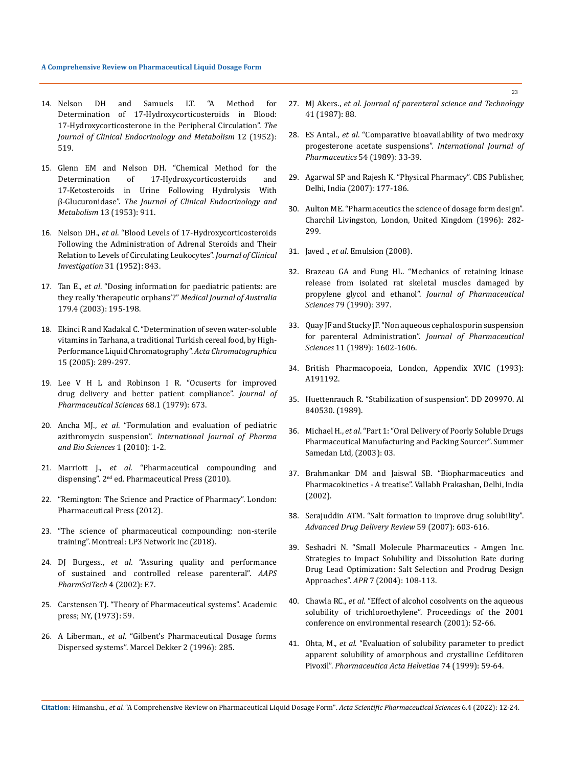- 14. [Nelson DH and Samuels LT. "A Method for](https://academic.oup.com/jcem/article-abstract/12/5/519/2718363?redirectedFrom=fulltext)  [Determination of 17-Hydroxycorticosteroids in Blood:](https://academic.oup.com/jcem/article-abstract/12/5/519/2718363?redirectedFrom=fulltext)  [17-Hydroxycorticosterone in the Peripheral Circulation".](https://academic.oup.com/jcem/article-abstract/12/5/519/2718363?redirectedFrom=fulltext) *The [Journal of Clinical Endocrinology and Metabolism](https://academic.oup.com/jcem/article-abstract/12/5/519/2718363?redirectedFrom=fulltext)* 12 (1952): [519.](https://academic.oup.com/jcem/article-abstract/12/5/519/2718363?redirectedFrom=fulltext)
- 15. [Glenn EM and Nelson DH. "Chemical Method for the](https://academic.oup.com/jcem/article-abstract/13/8/911/2718623?redirectedFrom=fulltext)  [Determination of 17-Hydroxycorticosteroids and](https://academic.oup.com/jcem/article-abstract/13/8/911/2718623?redirectedFrom=fulltext)  [17-Ketosteroids in Urine Following Hydrolysis With](https://academic.oup.com/jcem/article-abstract/13/8/911/2718623?redirectedFrom=fulltext)  β-Glucuronidase". *[The Journal of Clinical Endocrinology and](https://academic.oup.com/jcem/article-abstract/13/8/911/2718623?redirectedFrom=fulltext)  Metabolism* [13 \(1953\): 911.](https://academic.oup.com/jcem/article-abstract/13/8/911/2718623?redirectedFrom=fulltext)
- 16. Nelson DH., *et al*[. "Blood Levels of 17-Hydroxycorticosteroids](https://pubmed.ncbi.nlm.nih.gov/12981169/)  [Following the Administration of Adrenal Steroids and Their](https://pubmed.ncbi.nlm.nih.gov/12981169/)  [Relation to Levels of Circulating Leukocytes".](https://pubmed.ncbi.nlm.nih.gov/12981169/) *Journal of Clinical [Investigation](https://pubmed.ncbi.nlm.nih.gov/12981169/)* 31 (1952): 843.
- 17. Tan E., *et al*[. "Dosing information for paediatric patients: are](https://pubmed.ncbi.nlm.nih.gov/12914509/)  [they really 'therapeutic orphans'?"](https://pubmed.ncbi.nlm.nih.gov/12914509/) *Medical Journal of Australia*  [179.4 \(2003\): 195-198.](https://pubmed.ncbi.nlm.nih.gov/12914509/)
- 18. [Ekinci R and Kadakal C. "Determination of seven water-soluble](https://www.researchgate.net/publication/242176770_Determination_of_seven_water-soluble_vitamins_in_tarhana_a_traditional_Turkish_cereal_food_by_high-performance_liquid_chromatography)  [vitamins in Tarhana, a traditional Turkish cereal food, by High-](https://www.researchgate.net/publication/242176770_Determination_of_seven_water-soluble_vitamins_in_tarhana_a_traditional_Turkish_cereal_food_by_high-performance_liquid_chromatography)[Performance Liquid Chromatography".](https://www.researchgate.net/publication/242176770_Determination_of_seven_water-soluble_vitamins_in_tarhana_a_traditional_Turkish_cereal_food_by_high-performance_liquid_chromatography) *Acta Chromatographica* [15 \(2005\): 289-297.](https://www.researchgate.net/publication/242176770_Determination_of_seven_water-soluble_vitamins_in_tarhana_a_traditional_Turkish_cereal_food_by_high-performance_liquid_chromatography)
- 19. Lee V H L and Robinson I R. "Ocuserts for improved drug delivery and better patient compliance". *Journal of Pharmaceutical Sciences* 68.1 (1979): 673.
- 20. Ancha MJ., *et al*[. "Formulation and evaluation of pediatric](https://www.researchgate.net/publication/294671895_Formulation_and_evaluation_of_Pediatric_Azithromycin_suspension)  azithromycin suspension". *[International Journal of Pharma](https://www.researchgate.net/publication/294671895_Formulation_and_evaluation_of_Pediatric_Azithromycin_suspension)  [and Bio Sciences](https://www.researchgate.net/publication/294671895_Formulation_and_evaluation_of_Pediatric_Azithromycin_suspension)* 1 (2010): 1-2.
- 21. Marriott J., *et al*. "Pharmaceutical compounding and dispensing". 2nd ed. Pharmaceutical Press (2010).
- 22. "Remington: The Science and Practice of Pharmacy". London: Pharmaceutical Press (2012).
- 23. "The science of pharmaceutical compounding: non-sterile training". Montreal: LP3 Network Inc (2018).
- 24. DJ Burgess., *et al*[. "Assuring quality and performance](https://pubmed.ncbi.nlm.nih.gov/15198512/)  [of sustained and controlled release parenteral".](https://pubmed.ncbi.nlm.nih.gov/15198512/) *AAPS [PharmSciTech](https://pubmed.ncbi.nlm.nih.gov/15198512/)* 4 (2002): E7.
- 25. Carstensen TJ. "Theory of Pharmaceutical systems". Academic press; NY, (1973): 59.
- 26. A Liberman., *et al*. "Gilbent's Pharmaceutical Dosage forms Dispersed systems". Marcel Dekker 2 (1996): 285.
- 27. MJ Akers., *et al*. *Journal of parenteral science and Technology* 41 (1987): 88.
- 28. ES Antal., *et al*[. "Comparative bioavailability of two medroxy](https://www.sciencedirect.com/science/article/abs/pii/0378517389901622)  [progesterone acetate suspensions".](https://www.sciencedirect.com/science/article/abs/pii/0378517389901622) *International Journal of [Pharmaceutics](https://www.sciencedirect.com/science/article/abs/pii/0378517389901622)* 54 (1989): 33-39.
- 29. Agarwal SP and Rajesh K. "Physical Pharmacy". CBS Publisher, Delhi, India (2007): 177-186.
- 30. Aulton ME. "Pharmaceutics the science of dosage form design". Charchil Livingston, London, United Kingdom (1996): 282- 299.
- 31. Javed ., *et al*. Emulsion (2008).
- 32. [Brazeau GA and Fung HL. "Mechanics of retaining kinase](https://pubmed.ncbi.nlm.nih.gov/2352156/)  [release from isolated rat skeletal muscles damaged by](https://pubmed.ncbi.nlm.nih.gov/2352156/)  propylene glycol and ethanol". *[Journal of Pharmaceutical](https://pubmed.ncbi.nlm.nih.gov/2352156/)  Sciences* [79 \(1990\): 397.](https://pubmed.ncbi.nlm.nih.gov/2352156/)
- 33. [Quay JF and Stucky JF. "Non aqueous cephalosporin suspension](https://pubmed.ncbi.nlm.nih.gov/6520763/)  for parenteral Administration". *[Journal of Pharmaceutical](https://pubmed.ncbi.nlm.nih.gov/6520763/)  Sciences* [11 \(1989\): 1602-1606.](https://pubmed.ncbi.nlm.nih.gov/6520763/)
- 34. British Pharmacopoeia, London, Appendix XVIC (1993): A191192.
- 35. Huettenrauch R. "Stabilization of suspension". DD 209970. Al 840530. (1989).
- 36. Michael H., *et al*. "Part 1: "Oral Delivery of Poorly Soluble Drugs Pharmaceutical Manufacturing and Packing Sourcer". Summer Samedan Ltd, (2003): 03.
- 37. Brahmankar DM and Jaiswal SB. "Biopharmaceutics and Pharmacokinetics - A treatise". Vallabh Prakashan, Delhi, India (2002).
- 38. [Serajuddin ATM. "Salt formation to improve drug solubility".](https://pubmed.ncbi.nlm.nih.gov/17619064/)  *[Advanced Drug Delivery Review](https://pubmed.ncbi.nlm.nih.gov/17619064/)* 59 (2007): 603-616.
- 39. Seshadri N. "Small Molecule Pharmaceutics Amgen Inc. Strategies to Impact Solubility and Dissolution Rate during Drug Lead Optimization: Salt Selection and Prodrug Design Approaches". *APR* 7 (2004): 108-113.
- 40. Chawla RC., *et al*. "Effect of alcohol cosolvents on the aqueous solubility of trichloroethylene". Proceedings of the 2001 conference on environmental research (2001): 52-66.
- 41. Ohta, M., *et al*[. "Evaluation of solubility parameter to predict](https://www.sciencedirect.com/science/article/abs/pii/S0031686599000187)  [apparent solubility of amorphous and crystalline Cefditoren](https://www.sciencedirect.com/science/article/abs/pii/S0031686599000187)  Pivoxil". *[Pharmaceutica Acta Helvetiae](https://www.sciencedirect.com/science/article/abs/pii/S0031686599000187)* 74 (1999): 59-64.

**Citation:** Himanshu*., et al.* "A Comprehensive Review on Pharmaceutical Liquid Dosage Form". *Acta Scientific Pharmaceutical Sciences* 6.4 (2022): 12-24.